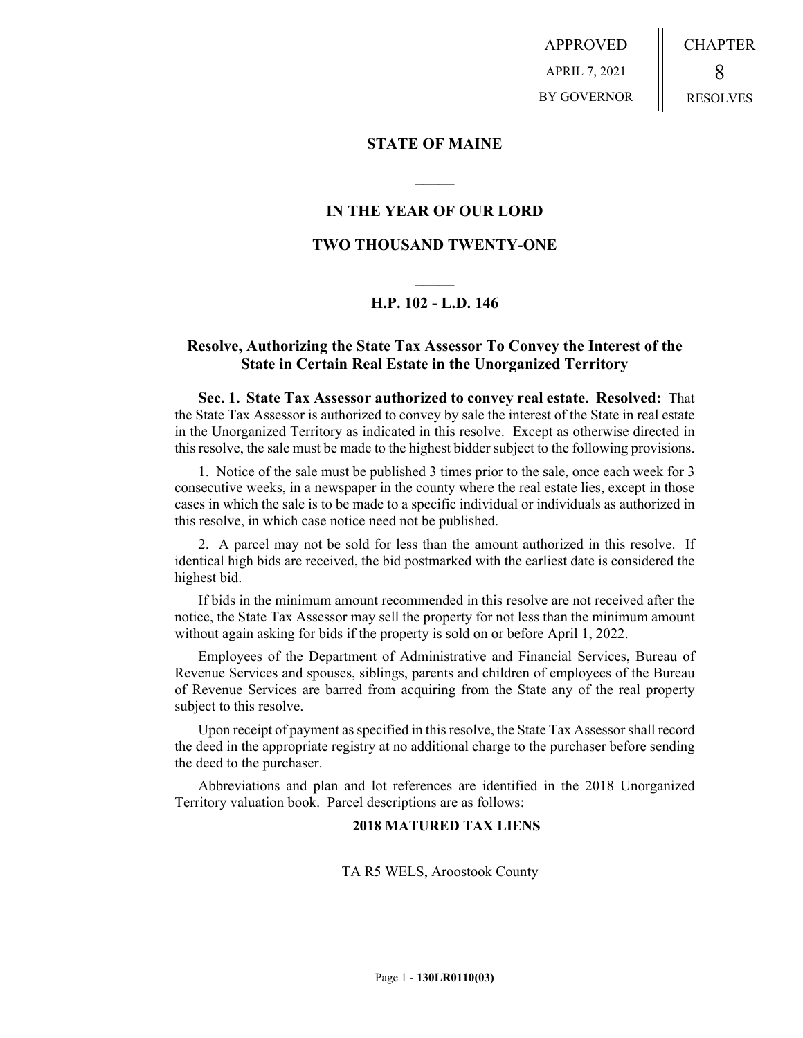APPROVED APRIL 7, 2021 BY GOVERNOR CHAPTER 8 RESOLVES

**STATE OF MAINE**

# **IN THE YEAR OF OUR LORD**

**\_\_\_\_\_**

## **TWO THOUSAND TWENTY-ONE**

# **\_\_\_\_\_ H.P. 102 - L.D. 146**

## **Resolve, Authorizing the State Tax Assessor To Convey the Interest of the State in Certain Real Estate in the Unorganized Territory**

**Sec. 1. State Tax Assessor authorized to convey real estate. Resolved:** That the State Tax Assessor is authorized to convey by sale the interest of the State in real estate in the Unorganized Territory as indicated in this resolve. Except as otherwise directed in this resolve, the sale must be made to the highest bidder subject to the following provisions.

1. Notice of the sale must be published 3 times prior to the sale, once each week for 3 consecutive weeks, in a newspaper in the county where the real estate lies, except in those cases in which the sale is to be made to a specific individual or individuals as authorized in this resolve, in which case notice need not be published.

2. A parcel may not be sold for less than the amount authorized in this resolve. If identical high bids are received, the bid postmarked with the earliest date is considered the highest bid.

If bids in the minimum amount recommended in this resolve are not received after the notice, the State Tax Assessor may sell the property for not less than the minimum amount without again asking for bids if the property is sold on or before April 1, 2022.

Employees of the Department of Administrative and Financial Services, Bureau of Revenue Services and spouses, siblings, parents and children of employees of the Bureau of Revenue Services are barred from acquiring from the State any of the real property subject to this resolve.

Upon receipt of payment as specified in this resolve, the State Tax Assessor shall record the deed in the appropriate registry at no additional charge to the purchaser before sending the deed to the purchaser.

Abbreviations and plan and lot references are identified in the 2018 Unorganized Territory valuation book. Parcel descriptions are as follows:

## **2018 MATURED TAX LIENS**

TA R5 WELS, Aroostook County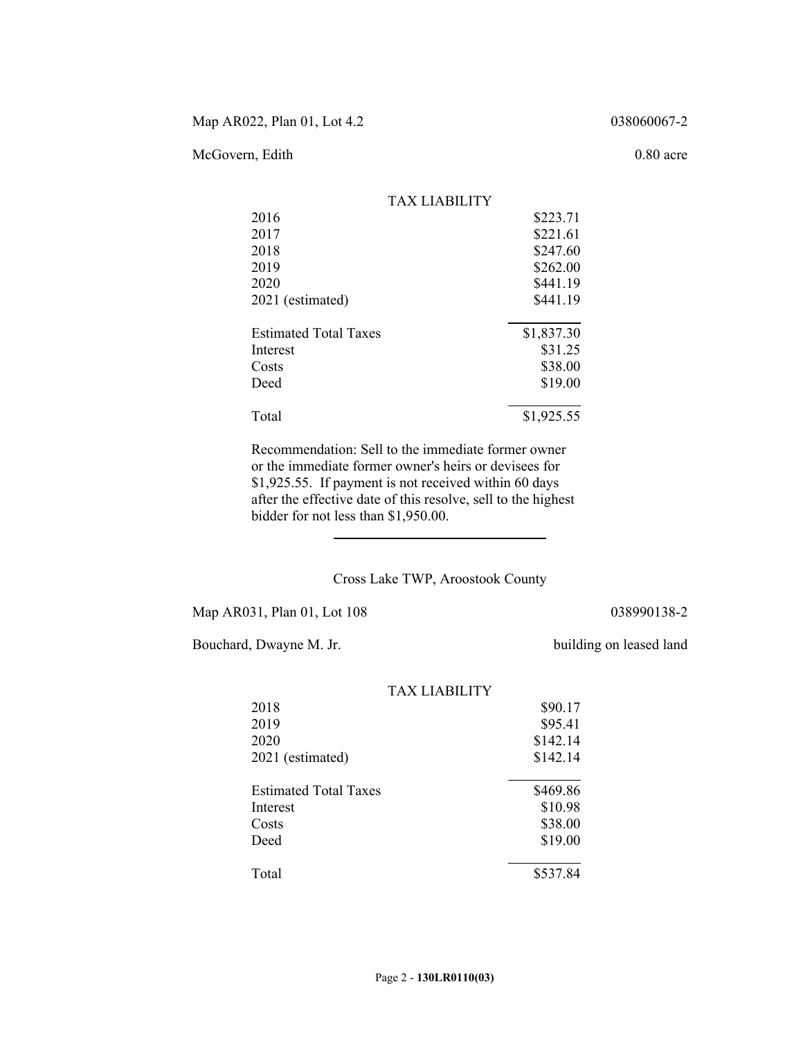## McGovern, Edith 0.80 acre

|                              | TAX LIABILITY |            |
|------------------------------|---------------|------------|
| 2016                         |               | \$223.71   |
| 2017                         |               | \$221.61   |
| 2018                         |               | \$247.60   |
| 2019                         |               | \$262.00   |
| 2020                         |               | \$441.19   |
| 2021 (estimated)             |               | \$441.19   |
| <b>Estimated Total Taxes</b> |               | \$1,837.30 |
| Interest                     |               | \$31.25    |
| Costs                        |               | \$38.00    |
| Deed                         |               | \$19.00    |
| Total                        |               | \$1,925.55 |

Recommendation: Sell to the immediate former owner or the immediate former owner's heirs or devisees for \$1,925.55. If payment is not received within 60 days after the effective date of this resolve, sell to the highest bidder for not less than \$1,950.00.

### Cross Lake TWP, Aroostook County

Map AR031, Plan 01, Lot 108 038990138-2

 $\overline{a}$ 

Bouchard, Dwayne M. Jr. building on leased land

|                              | TAX LIABILITY |          |
|------------------------------|---------------|----------|
| 2018                         |               | \$90.17  |
| 2019                         |               | \$95.41  |
| 2020                         |               | \$142.14 |
| 2021 (estimated)             |               | \$142.14 |
| <b>Estimated Total Taxes</b> |               | \$469.86 |
| Interest                     |               | \$10.98  |
| Costs                        |               | \$38.00  |
| Deed                         |               | \$19.00  |
| Total                        |               | \$537.84 |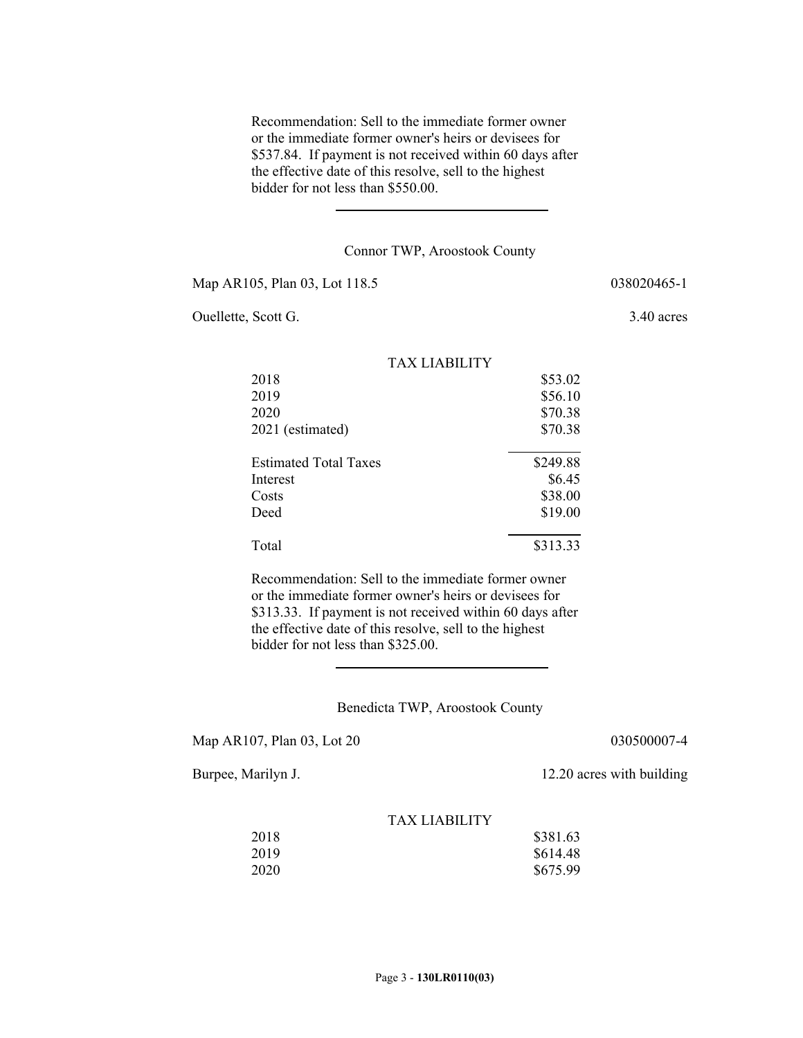Recommendation: Sell to the immediate former owner or the immediate former owner's heirs or devisees for \$537.84. If payment is not received within 60 days after the effective date of this resolve, sell to the highest bidder for not less than \$550.00.

#### Connor TWP, Aroostook County

Map AR105, Plan 03, Lot 118.5 038020465-1

Ouellette, Scott G. 3.40 acres

|                              | <b>TAX LIABILITY</b> |          |
|------------------------------|----------------------|----------|
| 2018                         |                      | \$53.02  |
| 2019                         |                      | \$56.10  |
| 2020                         |                      | \$70.38  |
| 2021 (estimated)             |                      | \$70.38  |
| <b>Estimated Total Taxes</b> |                      | \$249.88 |
| Interest                     |                      | \$6.45   |
| Costs                        |                      | \$38.00  |
| Deed                         |                      | \$19.00  |
| Total                        |                      | \$313.33 |

Recommendation: Sell to the immediate former owner or the immediate former owner's heirs or devisees for \$313.33. If payment is not received within 60 days after the effective date of this resolve, sell to the highest bidder for not less than \$325.00.

Benedicta TWP, Aroostook County

Map AR107, Plan 03, Lot 20 030500007-4

Burpee, Marilyn J. 12.20 acres with building

| 2018 | \$381.63 |
|------|----------|
| 2019 | \$614.48 |
| 2020 | \$675.99 |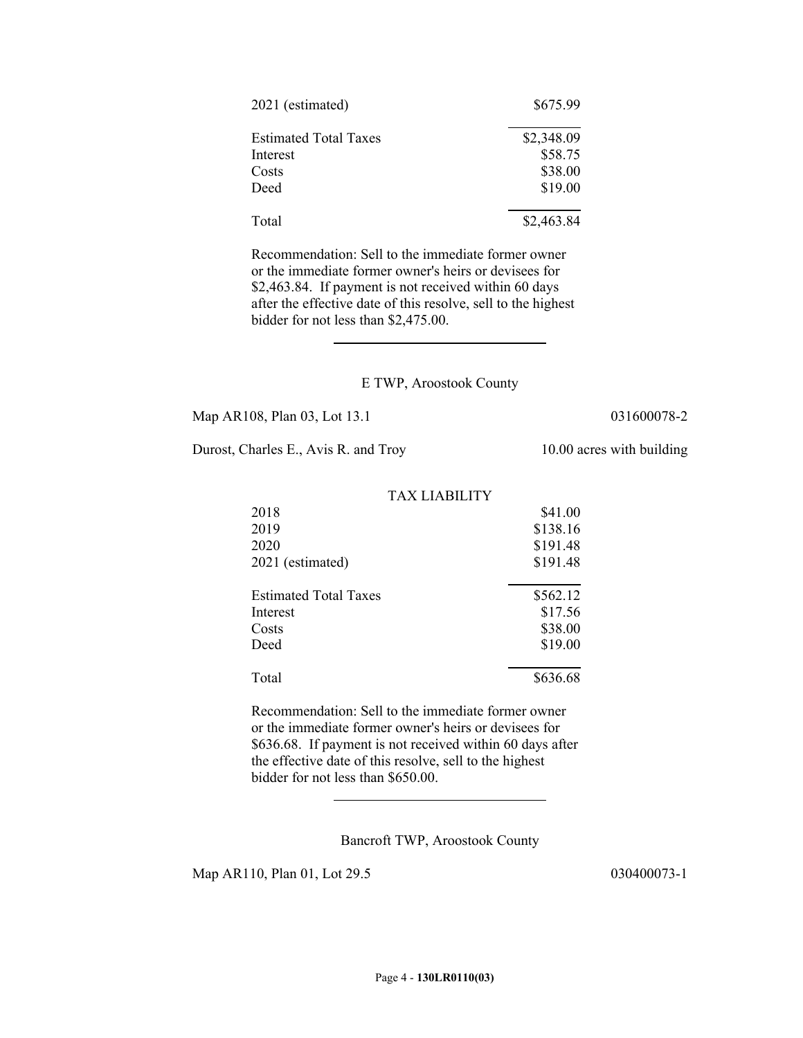| 2021 (estimated)             | \$675.99   |
|------------------------------|------------|
| <b>Estimated Total Taxes</b> | \$2,348.09 |
| Interest                     | \$58.75    |
| Costs                        | \$38.00    |
| Deed                         | \$19.00    |
| Total                        | \$2,463.84 |

Recommendation: Sell to the immediate former owner or the immediate former owner's heirs or devisees for \$2,463.84. If payment is not received within 60 days after the effective date of this resolve, sell to the highest bidder for not less than \$2,475.00.

### E TWP, Aroostook County

Map AR108, Plan 03, Lot 13.1 031600078-2

Durost, Charles E., Avis R. and Troy 10.00 acres with building

 $\overline{\phantom{a}}$ 

| 2018                         | \$41.00  |
|------------------------------|----------|
| 2019                         | \$138.16 |
| 2020                         | \$191.48 |
| 2021 (estimated)             | \$191.48 |
| <b>Estimated Total Taxes</b> | \$562.12 |
| Interest                     | \$17.56  |
| Costs                        | \$38.00  |
| Deed                         | \$19.00  |
| Total                        | \$636.68 |

Recommendation: Sell to the immediate former owner or the immediate former owner's heirs or devisees for \$636.68. If payment is not received within 60 days after the effective date of this resolve, sell to the highest bidder for not less than \$650.00.

Bancroft TWP, Aroostook County

Map AR110, Plan 01, Lot 29.5 030400073-1

 $\overline{a}$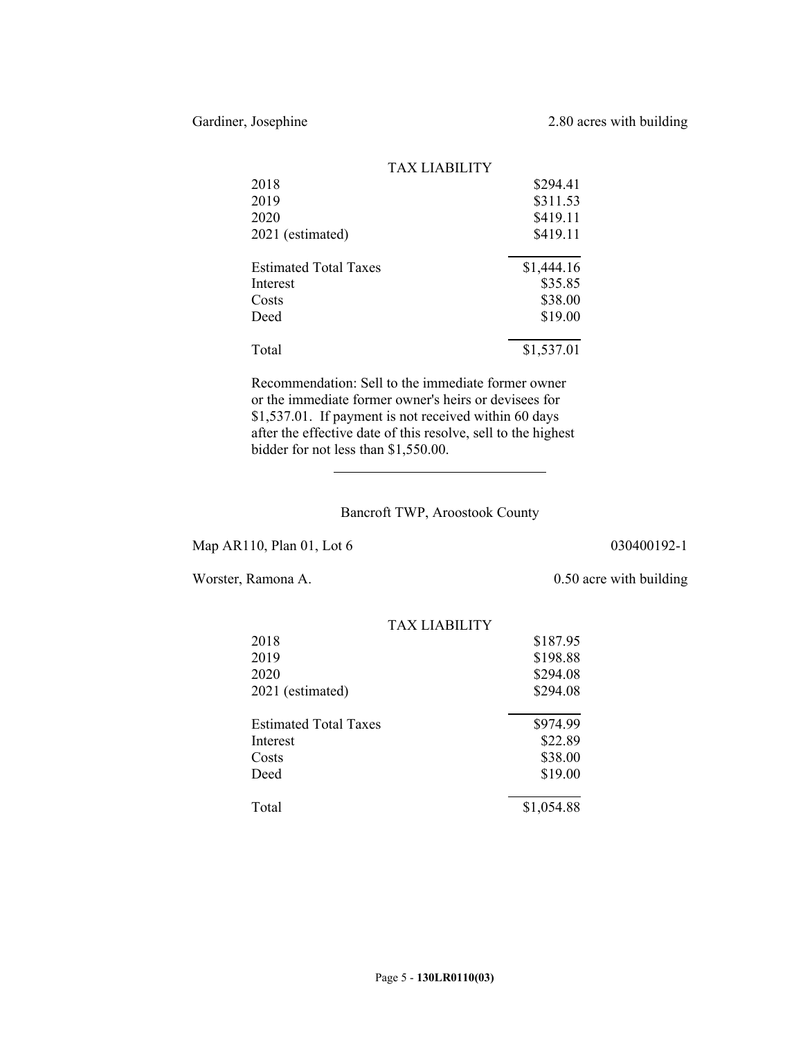|                              | TAX LIABILITY |            |
|------------------------------|---------------|------------|
| 2018                         |               | \$294.41   |
| 2019                         |               | \$311.53   |
| 2020                         |               | \$419.11   |
| 2021 (estimated)             |               | \$419.11   |
| <b>Estimated Total Taxes</b> |               | \$1,444.16 |
| Interest                     |               | \$35.85    |
| Costs                        |               | \$38.00    |
| Deed                         |               | \$19.00    |
| Total                        |               | \$1,537.01 |

Recommendation: Sell to the immediate former owner or the immediate former owner's heirs or devisees for \$1,537.01. If payment is not received within 60 days after the effective date of this resolve, sell to the highest bidder for not less than \$1,550.00.

## Bancroft TWP, Aroostook County

Map AR110, Plan 01, Lot 6 030400192-1

 $\overline{\phantom{a}}$ 

Worster, Ramona A. 0.50 acre with building

|                              | TAX LIARILITY |            |
|------------------------------|---------------|------------|
| 2018                         |               | \$187.95   |
| 2019                         |               | \$198.88   |
| 2020                         |               | \$294.08   |
| 2021 (estimated)             |               | \$294.08   |
|                              |               |            |
| <b>Estimated Total Taxes</b> |               | \$974.99   |
| Interest                     |               | \$22.89    |
| Costs                        |               | \$38.00    |
| Deed                         |               | \$19.00    |
|                              |               |            |
| Total                        |               | \$1,054.88 |

# TAY LIADILITY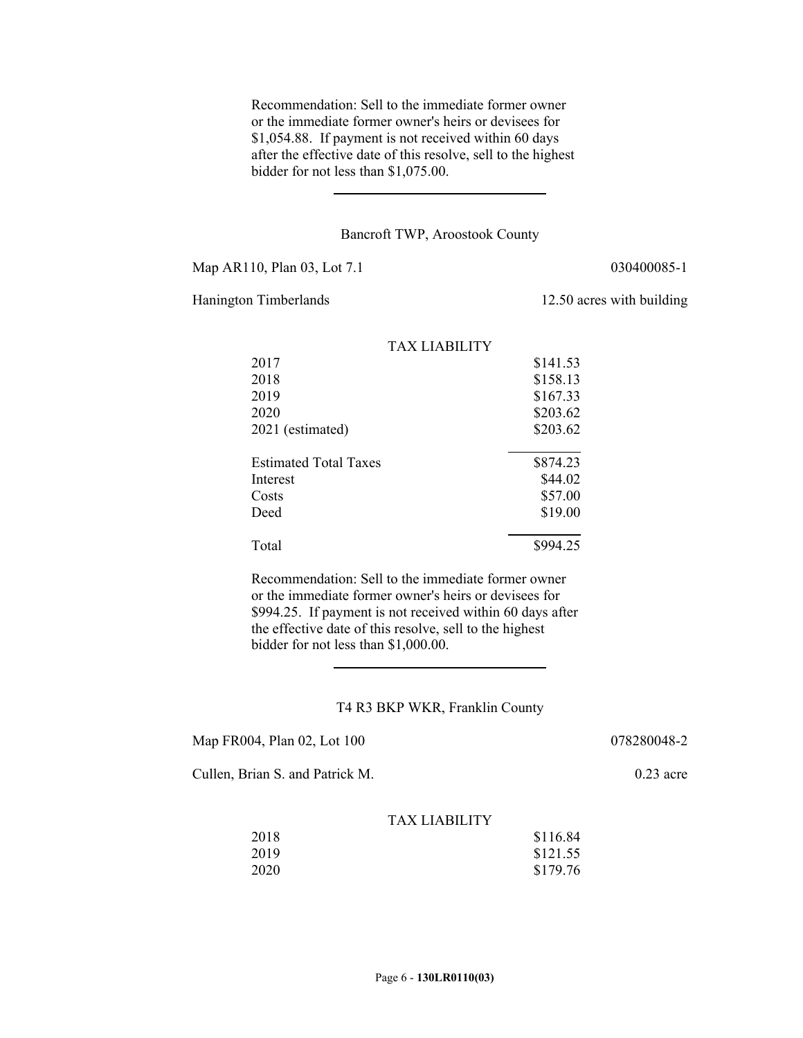Recommendation: Sell to the immediate former owner or the immediate former owner's heirs or devisees for \$1,054.88. If payment is not received within 60 days after the effective date of this resolve, sell to the highest bidder for not less than \$1,075.00.

#### Bancroft TWP, Aroostook County

Map AR110, Plan 03, Lot 7.1 030400085-1

 $\overline{a}$ 

Hanington Timberlands 12.50 acres with building

|                              | TAX LIABILITY |          |
|------------------------------|---------------|----------|
| 2017                         |               | \$141.53 |
| 2018                         |               | \$158.13 |
| 2019                         |               | \$167.33 |
| 2020                         |               | \$203.62 |
| 2021 (estimated)             |               | \$203.62 |
| <b>Estimated Total Taxes</b> |               | \$874.23 |
| Interest                     |               | \$44.02  |
| Costs                        |               | \$57.00  |
| Deed                         |               | \$19.00  |
| Total                        |               | \$994.25 |

Recommendation: Sell to the immediate former owner or the immediate former owner's heirs or devisees for \$994.25. If payment is not received within 60 days after the effective date of this resolve, sell to the highest bidder for not less than \$1,000.00.

#### T4 R3 BKP WKR, Franklin County

| Map FR004, Plan 02, Lot 100 |  |
|-----------------------------|--|
|-----------------------------|--|

 $\overline{a}$ 

078280048-2

Cullen, Brian S. and Patrick M. 0.23 acre

| 2018 | \$116.84 |
|------|----------|
| 2019 | \$121.55 |
| 2020 | \$179.76 |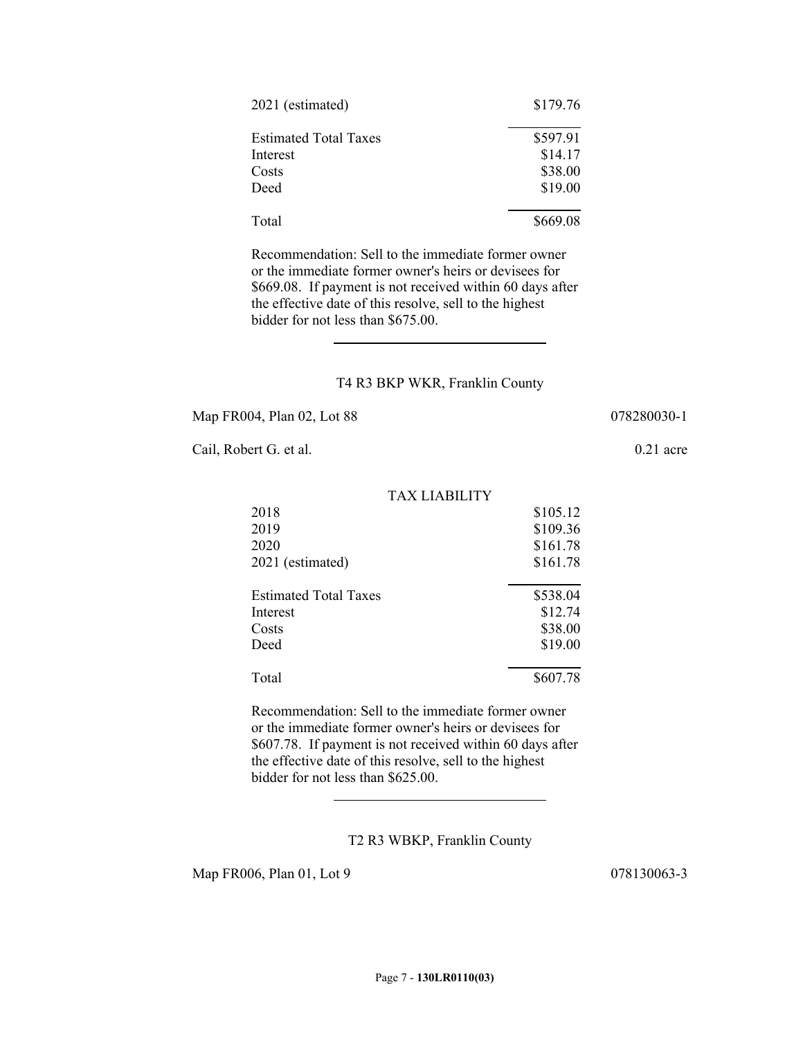| 2021 (estimated)             | \$179.76 |
|------------------------------|----------|
| <b>Estimated Total Taxes</b> | \$597.91 |
| Interest                     | \$14.17  |
| Costs                        | \$38.00  |
| Deed                         | \$19.00  |
| Total                        | \$669.08 |

Recommendation: Sell to the immediate former owner or the immediate former owner's heirs or devisees for \$669.08. If payment is not received within 60 days after the effective date of this resolve, sell to the highest bidder for not less than \$675.00.

### T4 R3 BKP WKR, Franklin County

TAX LIABILITY

Map FR004, Plan 02, Lot 88 078280030-1

 $\overline{\phantom{a}}$ 

Cail, Robert G. et al. 0.21 acre

| 2018                         | \$105.12 |
|------------------------------|----------|
| 2019                         | \$109.36 |
| 2020                         | \$161.78 |
| 2021 (estimated)             | \$161.78 |
| <b>Estimated Total Taxes</b> | \$538.04 |
| Interest                     | \$12.74  |
| Costs                        | \$38.00  |
| Deed                         | \$19.00  |
| Total                        | \$607.78 |

Recommendation: Sell to the immediate former owner or the immediate former owner's heirs or devisees for \$607.78. If payment is not received within 60 days after the effective date of this resolve, sell to the highest bidder for not less than \$625.00.

T2 R3 WBKP, Franklin County

Map FR006, Plan 01, Lot 9 078130063-3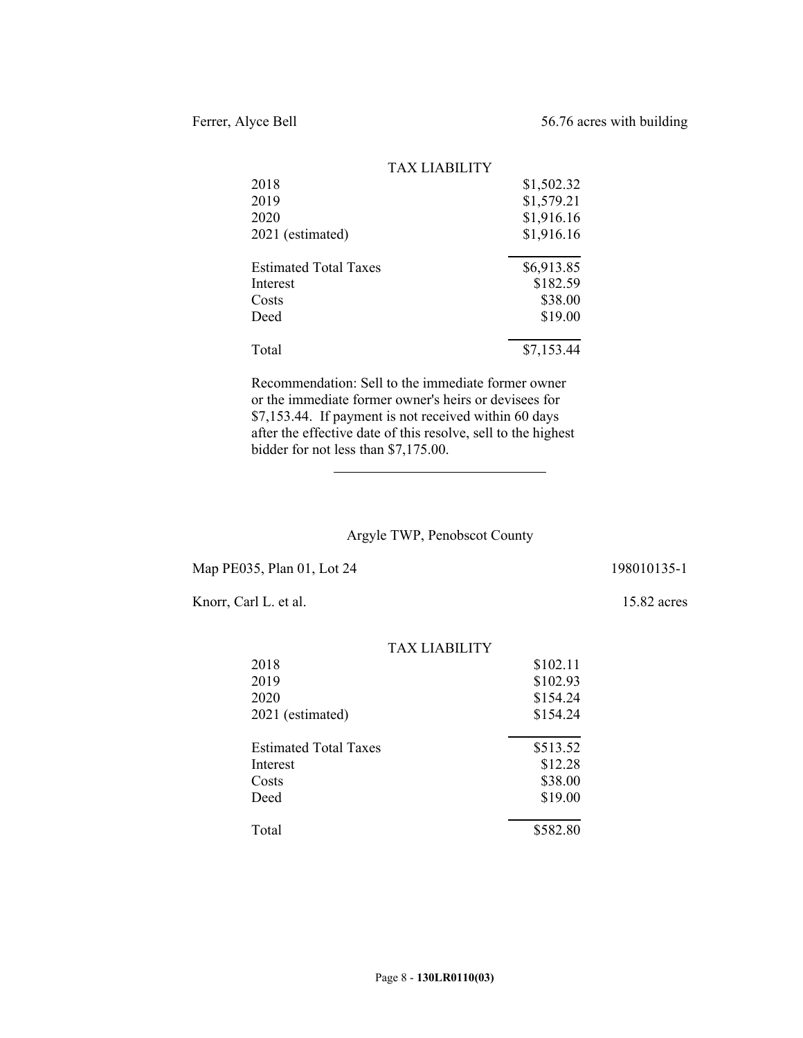|                              | <b>TAX LIABILITY</b> |            |
|------------------------------|----------------------|------------|
| 2018                         |                      | \$1,502.32 |
| 2019                         |                      | \$1,579.21 |
| 2020                         |                      | \$1,916.16 |
| 2021 (estimated)             |                      | \$1,916.16 |
| <b>Estimated Total Taxes</b> |                      | \$6,913.85 |
| Interest                     |                      | \$182.59   |
| Costs                        |                      | \$38.00    |
| Deed                         |                      | \$19.00    |
| Total                        |                      | \$7,153.44 |
|                              |                      |            |

Recommendation: Sell to the immediate former owner or the immediate former owner's heirs or devisees for \$7,153.44. If payment is not received within 60 days after the effective date of this resolve, sell to the highest bidder for not less than \$7,175.00.

# Argyle TWP, Penobscot County

Map PE035, Plan 01, Lot 24 198010135-1

 $\overline{\phantom{a}}$ 

Knorr, Carl L. et al. 15.82 acres

|                              | <b>TAX LIABILITY</b> |          |
|------------------------------|----------------------|----------|
| 2018                         |                      | \$102.11 |
| 2019                         |                      | \$102.93 |
| 2020                         |                      | \$154.24 |
| 2021 (estimated)             |                      | \$154.24 |
|                              |                      |          |
| <b>Estimated Total Taxes</b> |                      | \$513.52 |
| Interest                     |                      | \$12.28  |
| Costs                        |                      | \$38.00  |
| Deed                         |                      | \$19.00  |
|                              |                      |          |
| Total                        |                      | \$582.80 |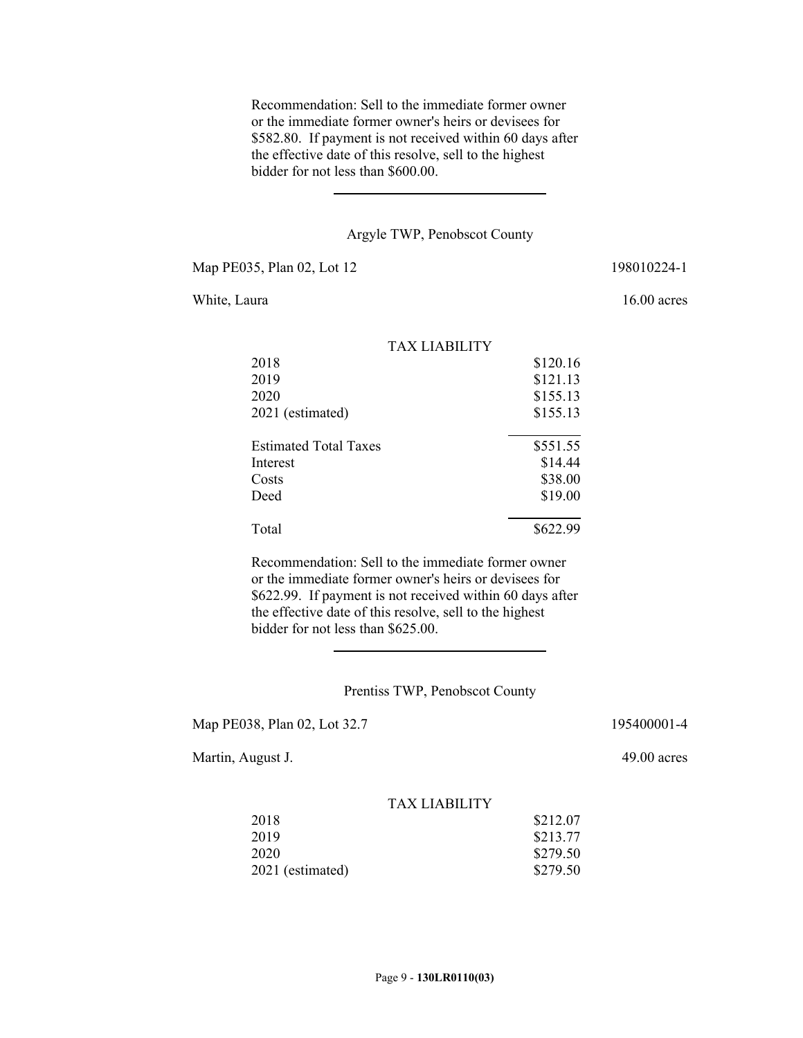Recommendation: Sell to the immediate former owner or the immediate former owner's heirs or devisees for \$582.80. If payment is not received within 60 days after the effective date of this resolve, sell to the highest bidder for not less than \$600.00.

#### Argyle TWP, Penobscot County

Map PE035, Plan 02, Lot 12 198010224-1

 $\overline{a}$ 

White, Laura 16.00 acres

|                              | TAX LIABILITY |          |
|------------------------------|---------------|----------|
| 2018                         |               | \$120.16 |
| 2019                         |               | \$121.13 |
| 2020                         |               | \$155.13 |
| 2021 (estimated)             |               | \$155.13 |
| <b>Estimated Total Taxes</b> |               | \$551.55 |
| Interest                     |               | \$14.44  |
| Costs                        |               | \$38.00  |
| Deed                         |               | \$19.00  |
| Total                        |               | \$622.99 |

Recommendation: Sell to the immediate former owner or the immediate former owner's heirs or devisees for \$622.99. If payment is not received within 60 days after the effective date of this resolve, sell to the highest bidder for not less than \$625.00.

## Prentiss TWP, Penobscot County

Map PE038, Plan 02, Lot 32.7 195400001-4

 $\overline{\phantom{a}}$ 

Martin, August J. 49.00 acres

| 2018             | \$212.07 |
|------------------|----------|
| 2019             | \$213.77 |
| 2020             | \$279.50 |
| 2021 (estimated) | \$279.50 |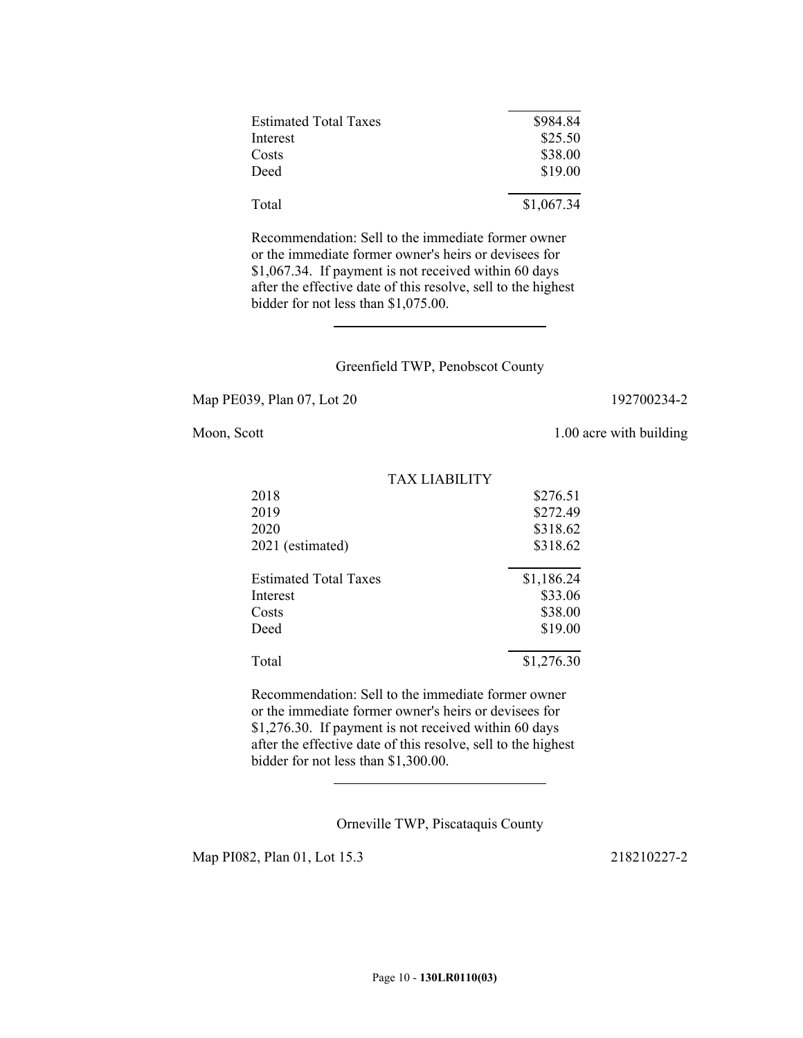| \$984.84   |
|------------|
| \$25.50    |
| \$38.00    |
| \$19.00    |
| \$1,067.34 |
|            |

Recommendation: Sell to the immediate former owner or the immediate former owner's heirs or devisees for \$1,067.34. If payment is not received within 60 days after the effective date of this resolve, sell to the highest bidder for not less than \$1,075.00.

### Greenfield TWP, Penobscot County

Map PE039, Plan 07, Lot 20 192700234-2

 $\overline{a}$ 

Moon, Scott 1.00 acre with building

| \$276.51   |
|------------|
| \$272.49   |
| \$318.62   |
| \$318.62   |
| \$1,186.24 |
| \$33.06    |
| \$38.00    |
| \$19.00    |
| \$1,276.30 |
|            |

Recommendation: Sell to the immediate former owner or the immediate former owner's heirs or devisees for \$1,276.30. If payment is not received within 60 days after the effective date of this resolve, sell to the highest bidder for not less than \$1,300.00.

Orneville TWP, Piscataquis County

Map PI082, Plan 01, Lot 15.3 218210227-2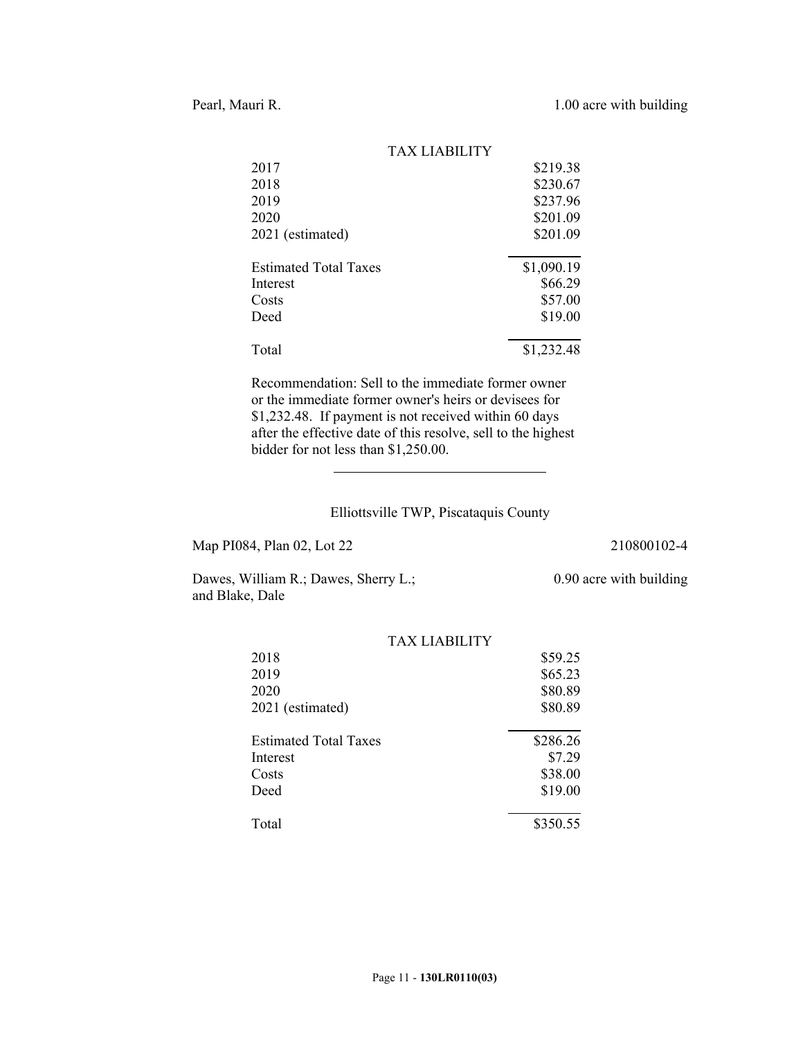|                              | TAX LIABILITY |            |
|------------------------------|---------------|------------|
| 2017                         |               | \$219.38   |
| 2018                         |               | \$230.67   |
| 2019                         |               | \$237.96   |
| 2020                         |               | \$201.09   |
| 2021 (estimated)             |               | \$201.09   |
| <b>Estimated Total Taxes</b> |               | \$1,090.19 |
| Interest                     |               | \$66.29    |
| Costs                        |               | \$57.00    |
| Deed                         |               | \$19.00    |
| Total                        |               | \$1,232.48 |

Recommendation: Sell to the immediate former owner or the immediate former owner's heirs or devisees for \$1,232.48. If payment is not received within 60 days after the effective date of this resolve, sell to the highest bidder for not less than \$1,250.00.

# Elliottsville TWP, Piscataquis County

Map PI084, Plan 02, Lot 22 210800102-4

0.90 acre with building

Dawes, William R.; Dawes, Sherry L.; and Blake, Dale

 $\overline{\phantom{a}}$ 

|                              | <b>TAX LIABILITY</b> |          |
|------------------------------|----------------------|----------|
| 2018                         |                      | \$59.25  |
| 2019                         |                      | \$65.23  |
| 2020                         |                      | \$80.89  |
| 2021 (estimated)             |                      | \$80.89  |
| <b>Estimated Total Taxes</b> |                      | \$286.26 |
| Interest                     |                      | \$7.29   |
| Costs                        |                      | \$38.00  |
| Deed                         |                      | \$19.00  |
| Total                        |                      | \$350.55 |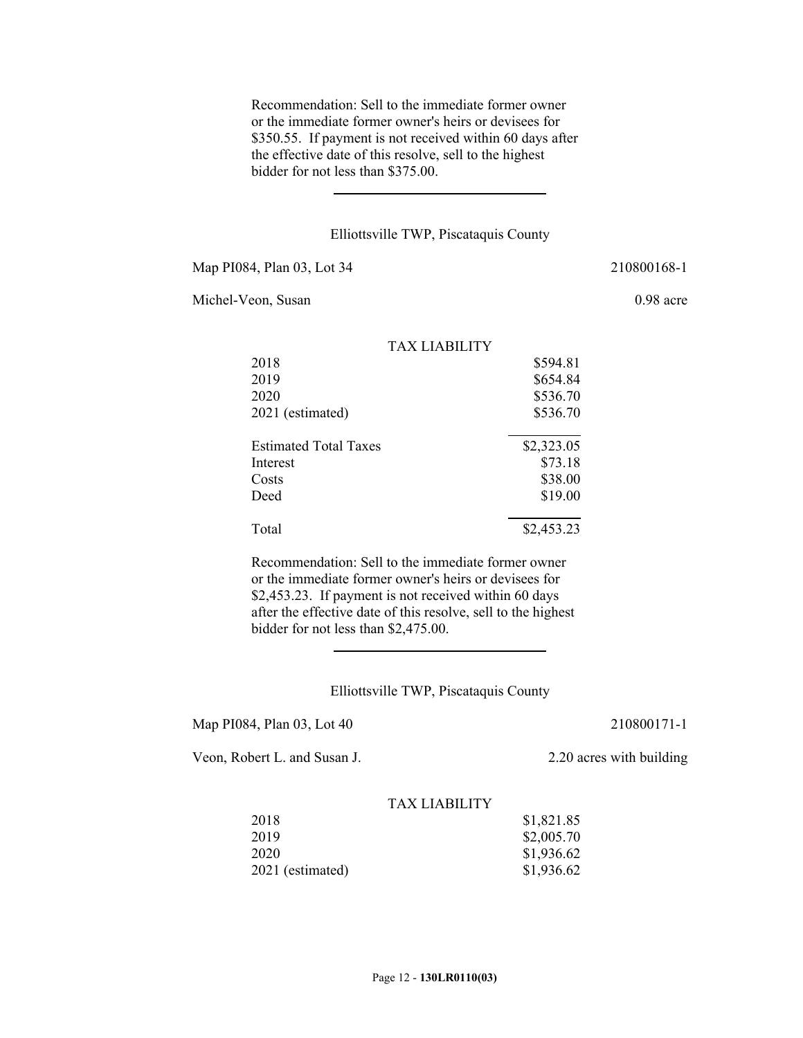Recommendation: Sell to the immediate former owner or the immediate former owner's heirs or devisees for \$350.55. If payment is not received within 60 days after the effective date of this resolve, sell to the highest bidder for not less than \$375.00.

### Elliottsville TWP, Piscataquis County

Map PI084, Plan 03, Lot 34 210800168-1

 $\overline{a}$ 

Michel-Veon, Susan 0.98 acre

|                              | TAX LIARILITY |            |
|------------------------------|---------------|------------|
| 2018                         |               | \$594.81   |
| 2019                         |               | \$654.84   |
| 2020                         |               | \$536.70   |
| 2021 (estimated)             |               | \$536.70   |
| <b>Estimated Total Taxes</b> |               | \$2,323.05 |
| Interest                     |               | \$73.18    |
| Costs                        |               | \$38.00    |
| Deed                         |               | \$19.00    |
| Total                        |               | \$2,453.23 |

Recommendation: Sell to the immediate former owner or the immediate former owner's heirs or devisees for \$2,453.23. If payment is not received within 60 days after the effective date of this resolve, sell to the highest bidder for not less than \$2,475.00.

## Elliottsville TWP, Piscataquis County

Map PI084, Plan 03, Lot 40 210800171-1

 $\overline{\phantom{a}}$ 

Veon, Robert L. and Susan J. 2.20 acres with building

| 2018             | \$1,821.85 |
|------------------|------------|
| 2019             | \$2,005.70 |
| 2020             | \$1,936.62 |
| 2021 (estimated) | \$1,936.62 |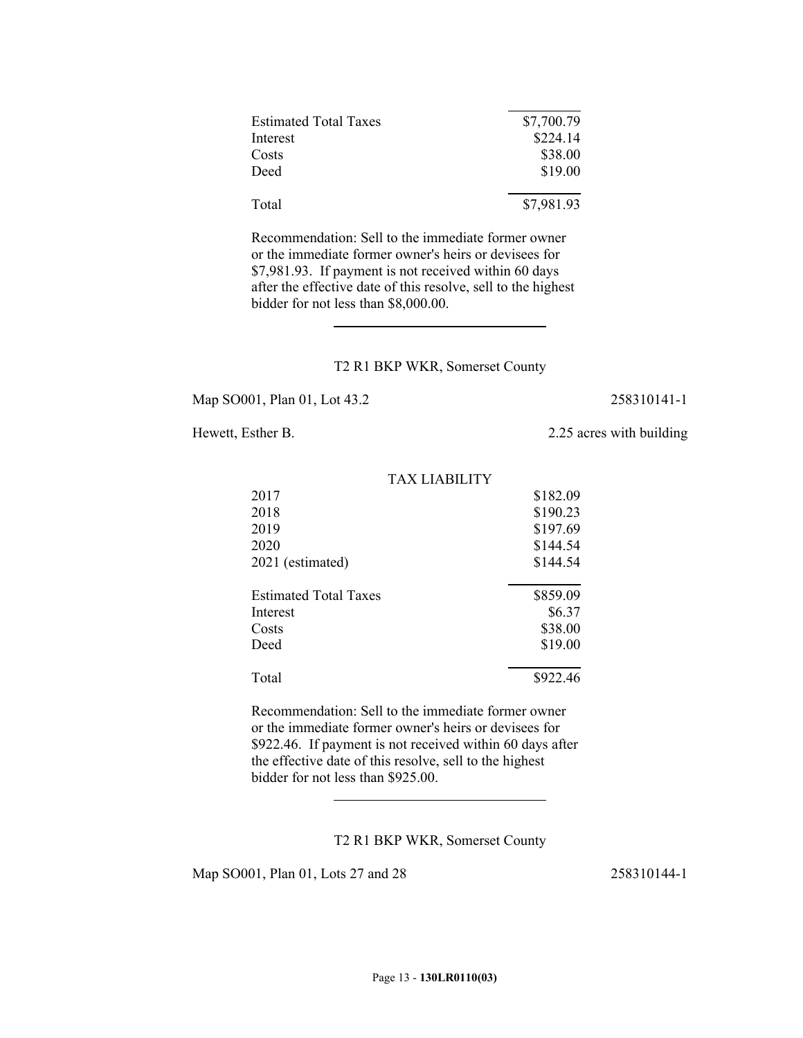| <b>Estimated Total Taxes</b> | \$7,700.79 |
|------------------------------|------------|
| Interest                     | \$224.14   |
| Costs                        | \$38.00    |
| Deed                         | \$19.00    |
| Total                        | \$7,981.93 |

Recommendation: Sell to the immediate former owner or the immediate former owner's heirs or devisees for \$7,981.93. If payment is not received within 60 days after the effective date of this resolve, sell to the highest bidder for not less than \$8,000.00.

### T2 R1 BKP WKR, Somerset County

TAX LIABILITY

Map SO001, Plan 01, Lot 43.2 258310141-1

 $\overline{a}$ 

# Hewett, Esther B. 2.25 acres with building

| 2017                         | \$182.09 |
|------------------------------|----------|
| 2018                         | \$190.23 |
| 2019                         | \$197.69 |
| 2020                         | \$144.54 |
| 2021 (estimated)             | \$144.54 |
| <b>Estimated Total Taxes</b> | \$859.09 |
| Interest                     | \$6.37   |
| Costs                        | \$38.00  |
| Deed                         | \$19.00  |
| Total                        | \$922.46 |

Recommendation: Sell to the immediate former owner or the immediate former owner's heirs or devisees for \$922.46. If payment is not received within 60 days after the effective date of this resolve, sell to the highest bidder for not less than \$925.00.

T2 R1 BKP WKR, Somerset County

Map SO001, Plan 01, Lots 27 and 28 258310144-1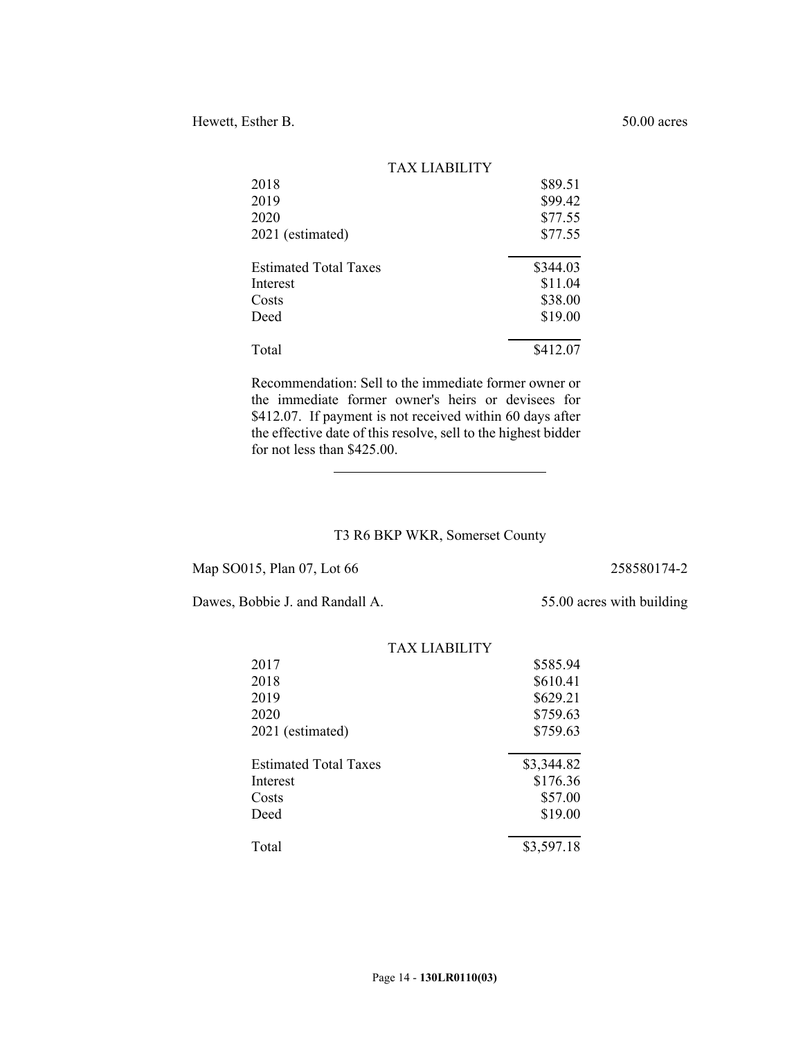| TAX LIABILITY                |          |
|------------------------------|----------|
| 2018                         | \$89.51  |
| 2019                         | \$99.42  |
| 2020                         | \$77.55  |
| 2021 (estimated)             | \$77.55  |
| <b>Estimated Total Taxes</b> | \$344.03 |
| Interest                     | \$11.04  |
| Costs                        | \$38.00  |
| Deed                         | \$19.00  |
| Total                        | \$412.07 |

Recommendation: Sell to the immediate former owner or the immediate former owner's heirs or devisees for \$412.07. If payment is not received within 60 days after the effective date of this resolve, sell to the highest bidder for not less than \$425.00.

### T3 R6 BKP WKR, Somerset County

Map SO015, Plan 07, Lot 66 258580174-2

Dawes, Bobbie J. and Randall A. 55.00 acres with building

 $\overline{\phantom{a}}$ 

|                              | TAX LIARILITY |            |
|------------------------------|---------------|------------|
| 2017                         |               | \$585.94   |
| 2018                         |               | \$610.41   |
| 2019                         |               | \$629.21   |
| 2020                         |               | \$759.63   |
| 2021 (estimated)             |               | \$759.63   |
| <b>Estimated Total Taxes</b> |               | \$3,344.82 |
| Interest                     |               | \$176.36   |
| Costs                        |               | \$57.00    |
| Deed                         |               | \$19.00    |
| Total                        |               | \$3,597.18 |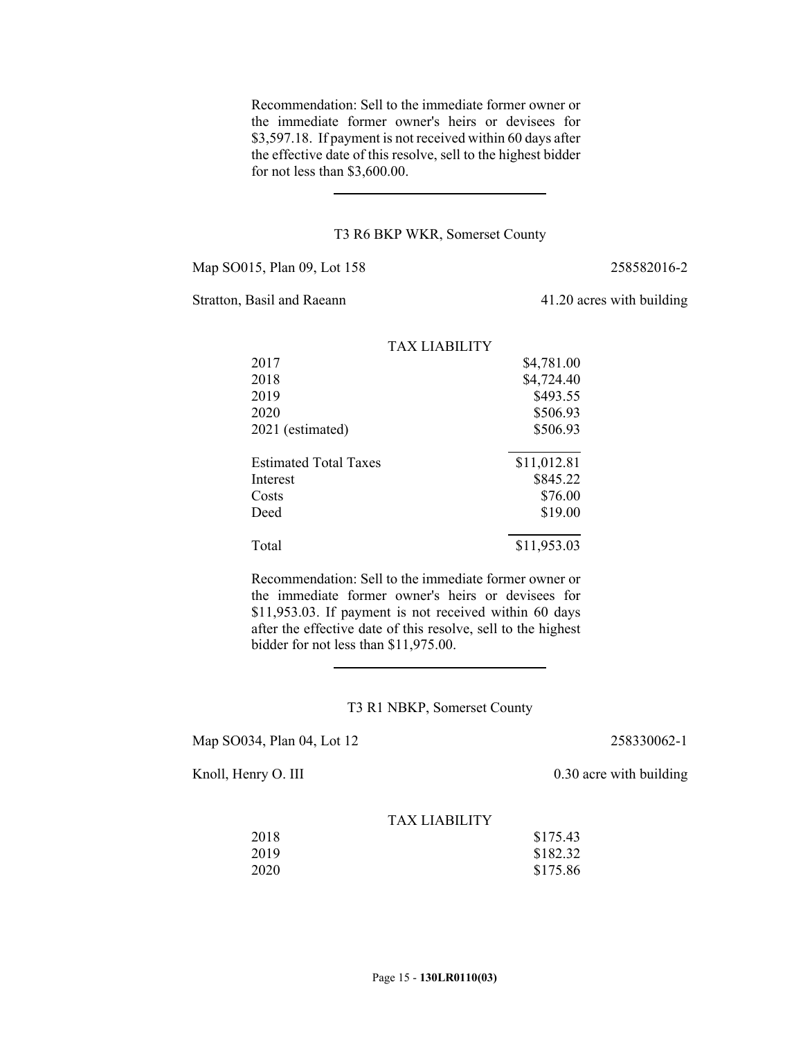Recommendation: Sell to the immediate former owner or the immediate former owner's heirs or devisees for \$3,597.18. If payment is not received within 60 days after the effective date of this resolve, sell to the highest bidder for not less than \$3,600.00.

#### T3 R6 BKP WKR, Somerset County

Map SO015, Plan 09, Lot 158 258582016-2

 $\overline{a}$ 

Stratton, Basil and Raeann 41.20 acres with building

|                              | <b>TAX LIABILITY</b> |             |
|------------------------------|----------------------|-------------|
| 2017                         |                      | \$4,781.00  |
| 2018                         |                      | \$4,724.40  |
| 2019                         |                      | \$493.55    |
| 2020                         |                      | \$506.93    |
| 2021 (estimated)             |                      | \$506.93    |
| <b>Estimated Total Taxes</b> |                      | \$11,012.81 |
| Interest                     |                      | \$845.22    |
| Costs                        |                      | \$76.00     |
| Deed                         |                      | \$19.00     |
| Total                        |                      | \$11,953.03 |

Recommendation: Sell to the immediate former owner or the immediate former owner's heirs or devisees for \$11,953.03. If payment is not received within 60 days after the effective date of this resolve, sell to the highest bidder for not less than \$11,975.00.

### T3 R1 NBKP, Somerset County

Map SO034, Plan 04, Lot 12 258330062-1

 $\overline{a}$ 

Knoll, Henry O. III 0.30 acre with building

| 2018 | \$175.43 |
|------|----------|
| 2019 | \$182.32 |
| 2020 | \$175.86 |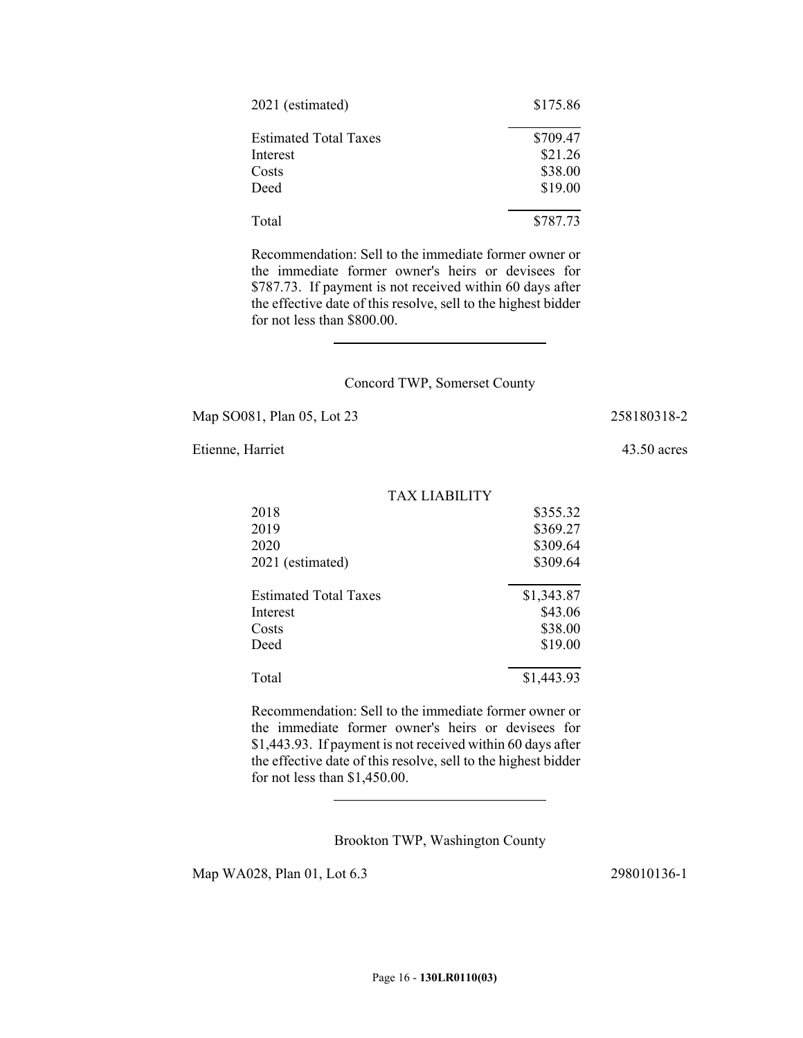| 2021 (estimated)             | \$175.86 |
|------------------------------|----------|
| <b>Estimated Total Taxes</b> | \$709.47 |
| Interest                     | \$21.26  |
| Costs                        | \$38.00  |
| Deed                         | \$19.00  |
| Total                        | \$787.73 |

Recommendation: Sell to the immediate former owner or the immediate former owner's heirs or devisees for \$787.73. If payment is not received within 60 days after the effective date of this resolve, sell to the highest bidder for not less than \$800.00.

### Concord TWP, Somerset County

Map SO081, Plan 05, Lot 23 258180318-2

 $\overline{\phantom{a}}$ 

Etienne, Harriet 43.50 acres

| TAX LIABILITY                |            |
|------------------------------|------------|
| 2018                         | \$355.32   |
| 2019                         | \$369.27   |
| 2020                         | \$309.64   |
| 2021 (estimated)             | \$309.64   |
| <b>Estimated Total Taxes</b> | \$1,343.87 |
| Interest                     | \$43.06    |
| Costs                        | \$38.00    |
| Deed                         | \$19.00    |
|                              |            |

Recommendation: Sell to the immediate former owner or the immediate former owner's heirs or devisees for \$1,443.93. If payment is not received within 60 days after the effective date of this resolve, sell to the highest bidder for not less than \$1,450.00.

Total \$1,443.93

Brookton TWP, Washington County

Map WA028, Plan 01, Lot 6.3 298010136-1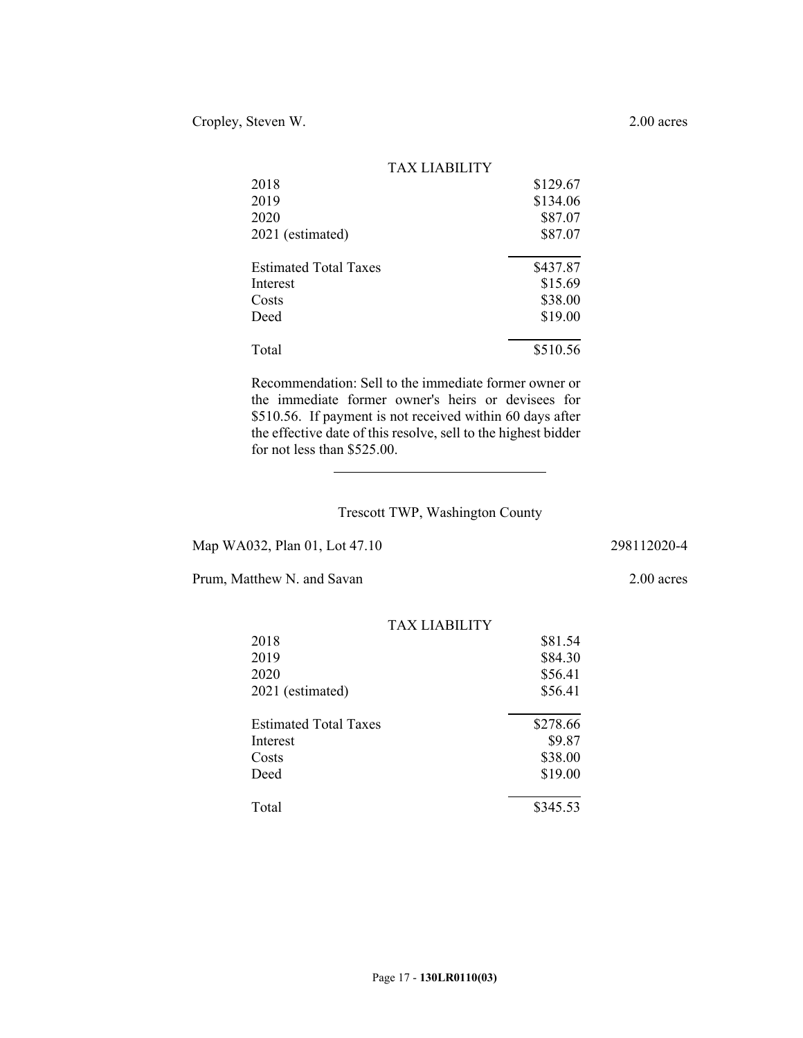|                              | <b>TAX LIABILITY</b> |          |
|------------------------------|----------------------|----------|
| 2018                         |                      | \$129.67 |
| 2019                         |                      | \$134.06 |
| 2020                         |                      | \$87.07  |
| 2021 (estimated)             |                      | \$87.07  |
| <b>Estimated Total Taxes</b> |                      | \$437.87 |
| Interest                     |                      | \$15.69  |
| Costs                        |                      | \$38.00  |
| Deed                         |                      | \$19.00  |
| Total                        |                      | \$510.56 |

Recommendation: Sell to the immediate former owner or the immediate former owner's heirs or devisees for \$510.56. If payment is not received within 60 days after the effective date of this resolve, sell to the highest bidder for not less than \$525.00.

## Trescott TWP, Washington County

Map WA032, Plan 01, Lot 47.10 298112020-4

 $\overline{\phantom{a}}$ 

Prum, Matthew N. and Savan 2.00 acres

|                              | TAX LIABILITY |  |
|------------------------------|---------------|--|
| 2018                         | \$81.54       |  |
| 2019                         | \$84.30       |  |
| 2020                         | \$56.41       |  |
| 2021 (estimated)             | \$56.41       |  |
|                              |               |  |
| <b>Estimated Total Taxes</b> | \$278.66      |  |
| Interest                     | \$9.87        |  |
| Costs                        | \$38.00       |  |
| Deed                         | \$19.00       |  |
| Total                        |               |  |
|                              | \$345.53      |  |